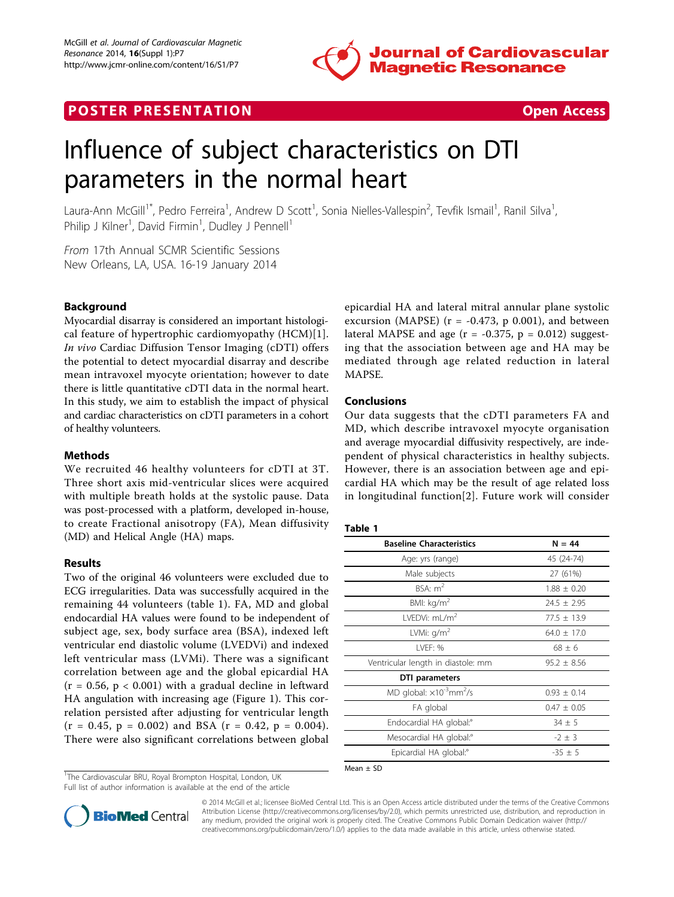

## **POSTER PRESENTATION CONSUMING THE SECOND CONSUMING THE SECOND CONSUMING THE SECOND CONSUMING THE SECOND CONSUMING THE SECOND CONSUMING THE SECOND CONSUMING THE SECOND CONSUMING THE SECOND CONSUMING THE SECOND CONSUMING**



# Influence of subject characteristics on DTI parameters in the normal heart

Laura-Ann McGill<sup>1\*</sup>, Pedro Ferreira<sup>1</sup>, Andrew D Scott<sup>1</sup>, Sonia Nielles-Vallespin<sup>2</sup>, Tevfik Ismail<sup>1</sup>, Ranil Silva<sup>1</sup> , Philip J Kilner<sup>1</sup>, David Firmin<sup>1</sup>, Dudley J Pennell<sup>1</sup>

From 17th Annual SCMR Scientific Sessions New Orleans, LA, USA. 16-19 January 2014

## Background

Myocardial disarray is considered an important histological feature of hypertrophic cardiomyopathy (HCM)[[1\]](#page-1-0). In vivo Cardiac Diffusion Tensor Imaging (cDTI) offers the potential to detect myocardial disarray and describe mean intravoxel myocyte orientation; however to date there is little quantitative cDTI data in the normal heart. In this study, we aim to establish the impact of physical and cardiac characteristics on cDTI parameters in a cohort of healthy volunteers.

## **Methods**

We recruited 46 healthy volunteers for cDTI at 3T. Three short axis mid-ventricular slices were acquired with multiple breath holds at the systolic pause. Data was post-processed with a platform, developed in-house, to create Fractional anisotropy (FA), Mean diffusivity (MD) and Helical Angle (HA) maps.

## Results

Two of the original 46 volunteers were excluded due to ECG irregularities. Data was successfully acquired in the remaining 44 volunteers (table 1). FA, MD and global endocardial HA values were found to be independent of subject age, sex, body surface area (BSA), indexed left ventricular end diastolic volume (LVEDVi) and indexed left ventricular mass (LVMi). There was a significant correlation between age and the global epicardial HA  $(r = 0.56, p < 0.001)$  with a gradual decline in leftward HA angulation with increasing age (Figure [1](#page-1-0)). This correlation persisted after adjusting for ventricular length  $(r = 0.45, p = 0.002)$  and BSA  $(r = 0.42, p = 0.004)$ . There were also significant correlations between global

<sup>1</sup>The Cardiovascular BRU, Royal Brompton Hospital, London, UK

Full list of author information is available at the end of the article

epicardial HA and lateral mitral annular plane systolic excursion (MAPSE) ( $r = -0.473$ , p 0.001), and between lateral MAPSE and age  $(r = -0.375, p = 0.012)$  suggesting that the association between age and HA may be mediated through age related reduction in lateral MAPSE.

#### Conclusions

Our data suggests that the cDTI parameters FA and MD, which describe intravoxel myocyte organisation and average myocardial diffusivity respectively, are independent of physical characteristics in healthy subjects. However, there is an association between age and epicardial HA which may be the result of age related loss in longitudinal function[[2\]](#page-1-0). Future work will consider

#### Table 1

| <b>Baseline Characteristics</b>                 | $N = 44$        |
|-------------------------------------------------|-----------------|
| Age: yrs (range)                                | 45 (24-74)      |
| Male subjects                                   | 27 (61%)        |
| BSA: m <sup>2</sup>                             | $1.88 + 0.20$   |
| BMI: kg/m <sup>2</sup>                          | $74.5 + 7.95$   |
| LVEDVi: $mL/m2$                                 | $77.5 + 13.9$   |
| LVMi: $q/m^2$                                   | $64.0 \pm 17.0$ |
| LVEF: %                                         | $68 \pm 6$      |
| Ventricular length in diastole: mm              | $95.2 \pm 8.56$ |
| DTI parameters                                  |                 |
| MD global: ×10 <sup>-3</sup> mm <sup>2</sup> /s | $0.93 \pm 0.14$ |
| FA global                                       | $0.47 \pm 0.05$ |
| Endocardial HA global: <sup>o</sup>             | $34 \pm 5$      |
| Mesocardial HA global: <sup>o</sup>             | $-2 \pm 3$      |
| Epicardial HA global: <sup>o</sup>              | $-35 + 5$       |

 $Mean + SC$ 



© 2014 McGill et al.; licensee BioMed Central Ltd. This is an Open Access article distributed under the terms of the Creative Commons Attribution License [\(http://creativecommons.org/licenses/by/2.0](http://creativecommons.org/licenses/by/2.0)), which permits unrestricted use, distribution, and reproduction in any medium, provided the original work is properly cited. The Creative Commons Public Domain Dedication waiver [\(http://](http://creativecommons.org/publicdomain/zero/1.0/) [creativecommons.org/publicdomain/zero/1.0/](http://creativecommons.org/publicdomain/zero/1.0/)) applies to the data made available in this article, unless otherwise stated.